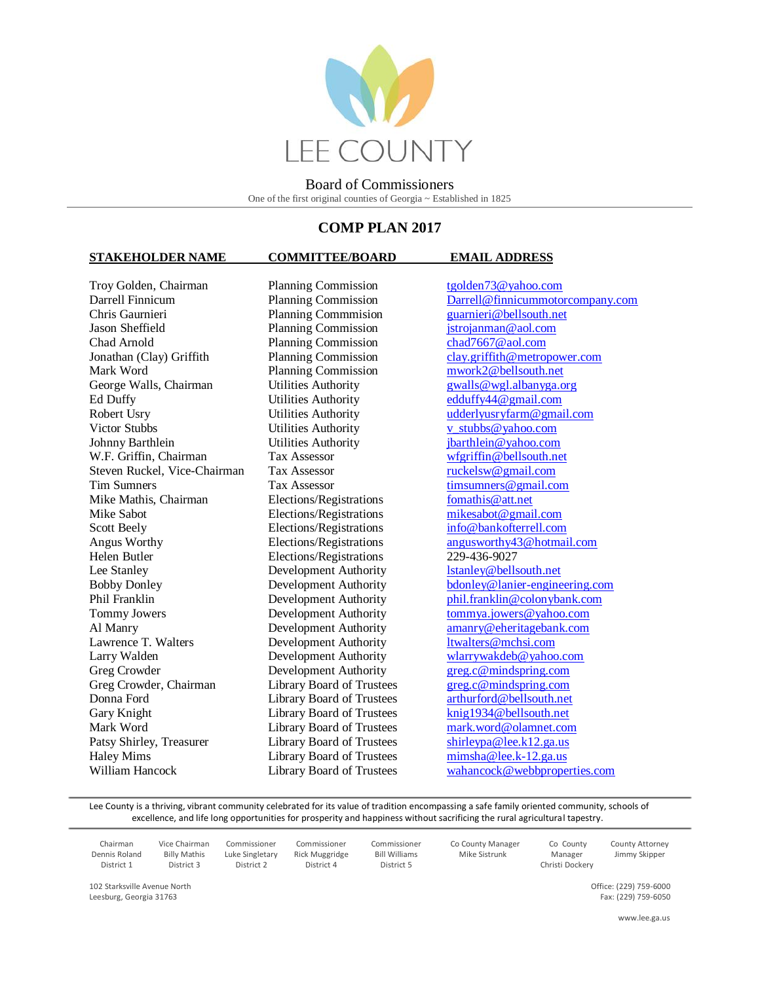

# **COMP PLAN 2017**

### **STAKEHOLDER NAME COMMITTEE/BOARD EMAIL ADDRESS**

Troy Golden, Chairman Planning Commission [tgolden73@yahoo.com](mailto:tgolden73@yahoo.com)<br>
Darrell Finnicum Planning Commission Darrell@finnicummoto Chris Gaurnieri Planning Commmision Jason Sheffield Planning Commission [jstrojanman@aol.com](mailto:jstrojanman@aol.com) Chad Arnold Planning Commission [chad7667@aol.com](mailto:chad7667@aol.com) Mark Word Planning Commission [mwork2@bellsouth.net](mailto:mwork2@bellsouth.net) George Walls, Chairman Utilities Authority [gwalls@wgl.albanyga.org](mailto:gwalls@wgl.albanyga.org) Ed Duffy Utilities Authority [edduffy44@gmail.com](mailto:edduffy44@gmail.com) Robert Usry Utilities Authority [udderlyusryfarm@gmail.com](mailto:udderlyusryfarm@gmail.com) Victor Stubbs **Victor Stubbs** Utilities Authority v stubbs@yahoo.com Johnny Barthlein Utilities Authority [jbarthlein@yahoo.com](mailto:jbarthlein@yahoo.com) W.F. Griffin, Chairman Tax Assessor [wfgriffin@bellsouth.net](mailto:wfgriffin@bellsouth.net)<br>Steven Ruckel, Vice-Chairman Tax Assessor ruckelsw@gmail.com Steven Ruckel, Vice-Chairman Tax Assessor Tim Sumners Tax Assessor the Tax Assessor timsumners @gmail.com Mike Mathis, Chairman Elections/Registrations [fomathis@att.net](mailto:fomathis@att.net) Mike Sabot Elections/Registrations [mikesabot@gmail.com](mailto:mikesabot@gmail.com) Scott Beely Elections/Registrations [info@bankofterrell.com](mailto:info@bankofterrell.com) Helen Butler Elections/Registrations 229-436-9027 Lee Stanley Development Authority [lstanley@bellsouth.net](mailto:lstanley@bellsouth.net) Tommy Jowers Development Authority [tommya.jowers@yahoo.com](mailto:tommya.jowers@yahoo.com) Al Manry Development Authority [amanry@eheritagebank.com](mailto:amanry@eheritagebank.com) Lawrence T. Walters Development Authority [ltwalters@mchsi.com](mailto:ltwalters@mchsi.com) Larry Walden Development Authority [wlarrywakdeb@yahoo.com](mailto:wlarrywakdeb@yahoo.com) Greg Crowder **Development Authority** [greg.c@mindspring.com](mailto:greg.c@mindspring.com) Greg Crowder, Chairman Library Board of Trustees [greg.c@mindspring.com](mailto:greg.c@mindspring.com) Donna Ford Library Board of Trustees [arthurford@bellsouth.net](mailto:arthurford@bellsouth.net) Gary Knight **Library Board of Trustees** [knig1934@bellsouth.net](mailto:knig1934@bellsouth.net) Mark Word Library Board of Trustees [mark.word@olamnet.com](mailto:mark.word@olamnet.com) Patsy Shirley, Treasurer Library Board of Trustees [shirleypa@lee.k12.ga.us](mailto:shirleypd@lee.k12.ga.us) Haley Mims Library Board of Trustees [mimsha@lee.k-12.ga.us](mailto:mimsha@lee.k-12.ga.us)

[Darrell@finnicummotorcompany.com](mailto:Darrell@finnicummotorcompany.com)<br>guarnieri@bellsouth.net Jonathan (Clay) Griffith Planning Commission [clay.griffith@metropower.com](mailto:clay.griffith@metropower.com) Angus Worthy **Elections/Registrations** angus worthy43@hotmail.com Bobby Donley **Development Authority** [bdonley@lanier-engineering.com](mailto:bdonley@lanier-engineering.com) Phil Franklin Development Authority [phil.franklin@colonybank.com](mailto:phil.franklin@colonybank.com) William Hancock Library Board of Trustees [wahancock@webbproperties.com](mailto:wahancock@webbproperties.com)

Lee County is a thriving, vibrant community celebrated for its value of tradition encompassing a safe family oriented community, schools of excellence, and life long opportunities for prosperity and happiness without sacrificing the rural agricultural tapestry.

> Commissioner Bill Williams District 5

Commissioner Rick Muggridge District 4

| Chairman      | Vice Chairman       |
|---------------|---------------------|
| Dennis Roland | <b>Billy Mathis</b> |
| District 1    | District 3          |

District 3

Commissioner Luke Singletary District 2

102 Starksville Avenue North Leesburg, Georgia 31763

Mike Sistrunk Manager Christi Dockery

Co County

Co County Manager

County Attorney Jimmy Skipper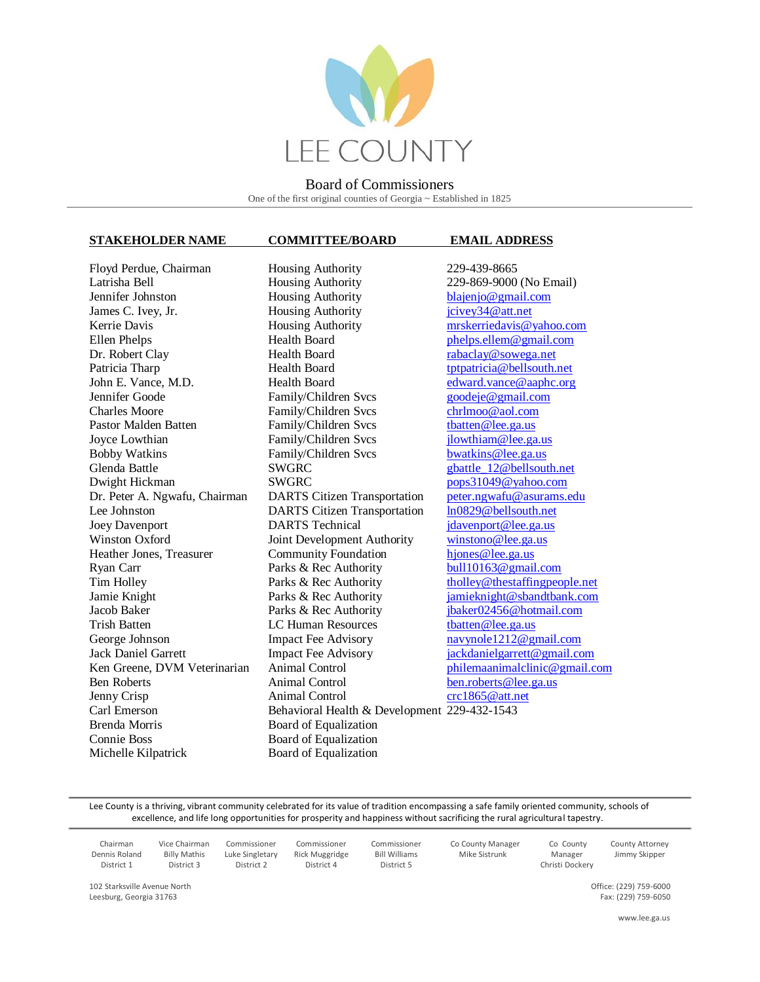

### **STAKEHOLDER NAME COMMITTEE/BOARD EMAIL ADDRESS**

Lee Johnston DARTS Citizen Transportation Ryan Carr Parks & Rec Authority Brenda Morris Board of Equalization Connie Boss Board of Equalization Michelle Kilpatrick Board of Equalization

Floyd Perdue, Chairman Housing Authority 229-439-8665 Latrisha Bell Housing Authority 229-869-9000 (No Email) Jennifer Johnston Housing Authority [blajenjo@gmail.com](mailto:blajenjo@gmail.com) James C. Ivey, Jr. **Housing Authority** icivey 34 @ att.net Kerrie Davis **Housing Authority** [mrskerriedavis@yahoo.com](mailto:mrskerriedavis@yahoo.com) Ellen Phelps **Health Board** [phelps.ellem@gmail.com](mailto:phelps.ellem@gmail.com) Dr. Robert Clay **Health Board** [rabaclay@sowega.net](mailto:rabaclay@sowega.net) Patricia Tharp Health Board [tptpatricia@bellsouth.net](mailto:tptpatricia@bellsouth.net) John E. Vance, M.D. Health Board [edward.vance@aaphc.org](mailto:edward.vance@aaphc.org) Jennifer Goode Family/Children Svcs [goodeje@gmail.com](mailto:goodeje@gmail.com) Charles Moore Family/Children Svcs [chrlmoo@aol.com](mailto:chrlmoo@aol.com) Pastor Malden Batten Family/Children Svcs [tbatten@lee.ga.us](mailto:tbatten@lee.ga.us) Joyce Lowthian Family/Children Svcs [jlowthiam@lee.ga.us](mailto:jlowthiam@lee.ga.us) Bobby Watkins Family/Children Svcs [bwatkins@lee.ga.us](mailto:bwatkins@lee.ga.us) Glenda Battle SWGRC gbattle 12@bellsouth.net Dwight Hickman SWGRC [pops31049@yahoo.com](mailto:pops31049@yahoo.com) Dr. Peter A. Ngwafu, Chairman DARTS Citizen Transportation [peter.ngwafu@asurams.edu](mailto:peter.ngwafu@asurams.edu)<br>Lee Johnston DARTS Citizen Transportation ln0829@bellsouth.net Joey Davenport **DARTS** Technical *[jdavenport@lee.ga.us](mailto:jdavenport@lee.ga.us)* Winston Oxford Joint Development Authority [winstono@lee.ga.us](mailto:winstono@lee.ga.us) Heather Jones, Treasurer Community Foundation<br>
Ryan Carr Parks & Rec Authority bull 10163@ gmail.com Tim Holley **Parks & Rec Authority** [tholley@thestaffingpeople.net](mailto:tholley@thestaffingpeople.net) Jamie Knight Parks & Rec Authority [jamieknight@sbandtbank.com](mailto:jamieknight@sbandtbank.com) Jacob Baker Parks & Rec Authority [jbaker02456@hotmail.com](mailto:jbaker02456@hotmail.com) Trish Batten **LC Human Resources** that the equal to the equal to the equal to the equal to the equal to the equal to the equal to the equal to the equal to the equal to the equal to the equal to the equal to the equal to t George Johnson Impact Fee Advisory [navynole1212@gmail.com](mailto:navynole1212@gmail.com) Jack Daniel Garrett Impact Fee Advisory [jackdanielgarrett@gmail.com](mailto:jackdanielgarrett@gmail.com) Ken Greene, DVM Veterinarian Animal Control [philemaanimalclinic@gmail.com](mailto:philemaanimalclinic@gmail.com) Ben Roberts **Animal Control** [ben.roberts@lee.ga.us](mailto:ben.roberts@lee.ga.us) Jenny Crisp Animal Control [crc1865@att.net](mailto:crc1865@att.net) Carl Emerson Behavioral Health & Development 229-432-1543

Lee County is a thriving, vibrant community celebrated for its value of tradition encompassing a safe family oriented community, schools of excellence, and life long opportunities for prosperity and happiness without sacrificing the rural agricultural tapestry.

| Chairman<br>Dennis Roland<br>District 1 | Vice Chairman<br><b>Billy Mathis</b><br>District 3 | Commissioner<br>Luke Singletary<br>District 2 | Commissioner<br>Rick Muggridge<br>District 4 | Commissioner<br><b>Bill Williams</b><br>District 5 | Co County Manager<br>Mike Sistrunk | Co County<br>Manager<br>Christi Dockery | <b>County Attorney</b><br>Jimmy Skipper |
|-----------------------------------------|----------------------------------------------------|-----------------------------------------------|----------------------------------------------|----------------------------------------------------|------------------------------------|-----------------------------------------|-----------------------------------------|
|-----------------------------------------|----------------------------------------------------|-----------------------------------------------|----------------------------------------------|----------------------------------------------------|------------------------------------|-----------------------------------------|-----------------------------------------|

102 Starksville Avenue North Leesburg, Georgia 31763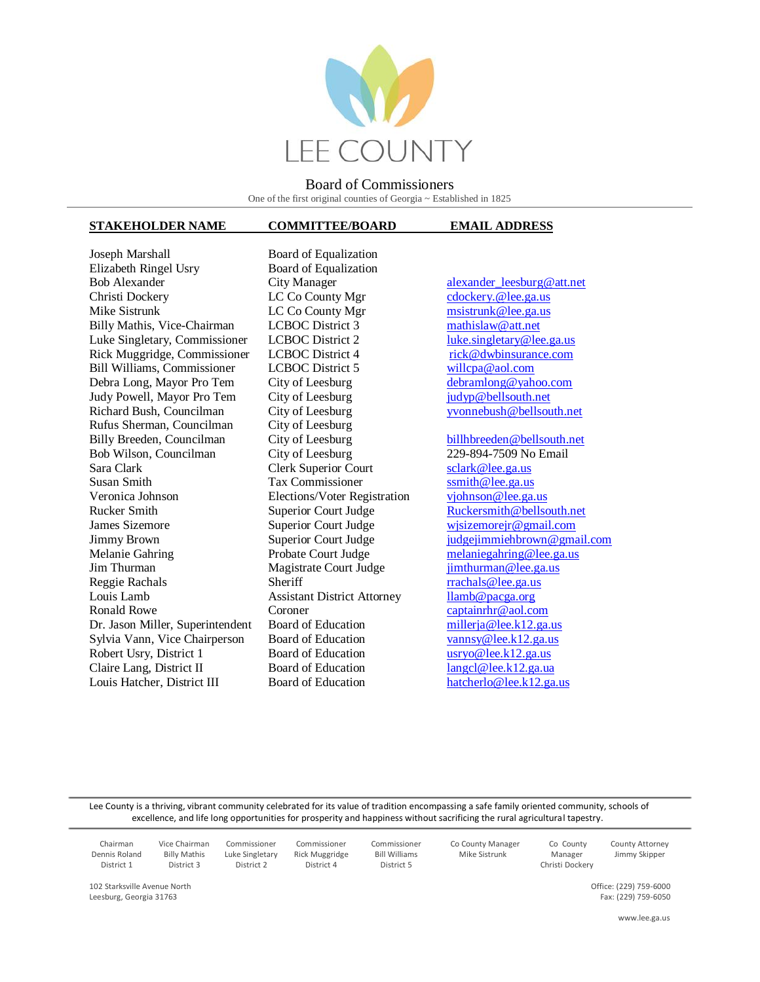

## **STAKEHOLDER NAME COMMITTEE/BOARD EMAIL ADDRESS**

Joseph Marshall Board of Equalization Elizabeth Ringel Usry Board of Equalization Bob Alexander **City Manager** alexander leesburg@att.net Christi Dockery LC Co County Mgr cdockery. @lee.ga.us Mike Sistrunk **LC Co County Mgr** msistrunk @lee.ga.us Billy Mathis, Vice-Chairman LCBOC District 3 [mathislaw@att.net](mailto:mathislaw@att.net) Luke Singletary, Commissioner LCBOC District 2 [luke.singletary@lee.ga.us](mailto:luke.singletary@lee.ga.us) Rick Muggridge, Commissioner LCBOC District 4 [rick@dwbinsurance.com](mailto:rick@dwbinsurance.com) Bill Williams, Commissioner LCBOC District 5 willc<u>pa@aol.com</u><br>
Debra Long, Mayor Pro Tem City of Leesburg debramlong@yahoo.com Debra Long, Mayor Pro Tem City of Leesburg Judy Powell, Mayor Pro Tem City of Leesburg in the independent of pullsouth.net Richard Bush, Councilman City of Leesburg yvonnebush @bellsouth.net Rufus Sherman, Councilman City of Leesburg<br>Billy Breeden, Councilman City of Leesburg Billy Breeden, Councilman City of Leesburg [billhbreeden@bellsouth.net](mailto:billhbreeden@bellsouth.net) Bob Wilson, Councilman City of Leesburg 229-894-7509 No Email Sara Clark Clerk Superior Court [sclark@lee.ga.us](mailto:sclark@lee.ga.us) Susan Smith Tax Commissioner [ssmith@lee.ga.us](mailto:ssmith@lee.ga.us) Veronica Johnson Elections/Voter Registration [vjohnson@lee.ga.us](mailto:vjohnson@lee.ga.us) Rucker Smith Superior Court Judge [Ruckersmith@bellsouth.net](mailto:Ruckersmith@bellsouth.net) James Sizemore Superior Court Judge wisizemorejr@gmail.com Jimmy Brown Superior Court Judge [judgejimmiehbrown@gmail.com](mailto:judgejimmiehbrown@gmail.com) Melanie Gahring Probate Court Judge [melaniegahring@lee.ga.us](mailto:melaniegahring@lee.ga.us) Jim Thurman Magistrate Court Judge Reggie Rachals Sheriff rrachals **Constanting Reggie Rachals** Sheriff rrachals **rrachals** *e* Louis Lamb Assistant District Attorney lamb@pacga.org<br>
Ronald Rowe Coroner Coroner captainrhr@aol.co Dr. Jason Miller, Superintendent Board of Education millerja @lee.k12.ga.us Sylvia Vann, Vice Chairperson Board of Education [vannsy@lee.k12.ga.us](mailto:vannsy@lee.k12.ga.us) Robert Usry, District 1 Board of Education [usryo@lee.k12.ga.us](mailto:usryo@lee.k12.ga.us) Claire Lang, District II Board of Education langel@lee.k12.ga.ua Louis Hatcher, District III Board of Education [hatcherlo@lee.k12.ga.us](mailto:hatcherlo@lee.k12.ga.us)

Coroner [captainrhr@aol.com](mailto:captainrhr@aol.com)

Lee County is a thriving, vibrant community celebrated for its value of tradition encompassing a safe family oriented community, schools of excellence, and life long opportunities for prosperity and happiness without sacrificing the rural agricultural tapestry.

> Commissioner Bill Williams District 5

Commissioner Rick Muggridge District 4

| Chairman      |  |  |  |  |
|---------------|--|--|--|--|
| Dennis Roland |  |  |  |  |
| District 1    |  |  |  |  |

Billy Mathis District 3

Vice Chairman

Commissioner Luke Singletary District 2

102 Starksville Avenue North Leesburg, Georgia 31763

 Co County Manager Mike Sistrunk

County Attorney Jimmy Skipper

Co County Manager Christi Dockery